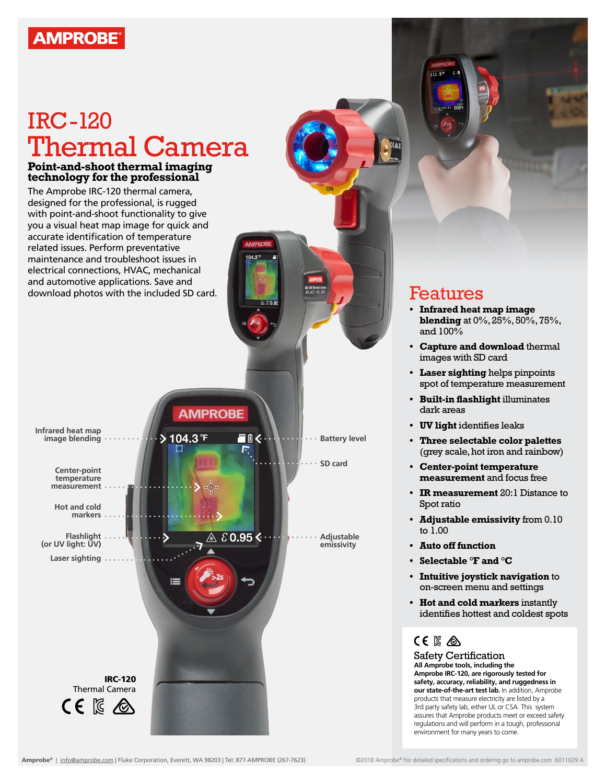## **AMPROBE**

# IRC-120 Thermal Camera

#### **Point-and-shoot thermal imaging technology for the professional**

The Amprobe IRC-120 thermal camera, designed for the professional, is rugged with point-and-shoot functionality to give you a visual heat map image for quick and accurate identification of temperature related issues. Perform preventative maintenance and troubleshoot issues in electrical connections, HVAC, mechanical and automotive applications. Save and download photos with the included SD card. **Features** 

**AMPROBE Infrared heat map**   $\geq 104.3$ <sup>°F</sup> ■自く・ **image blending Battery level SD cardCenter-point temperature measurement Hot and cold markers Flashlight**  $\&0.95\&\cdot$ **Adjustable (or UV light: UV) emissivity Laser sighting** IRC-120 Thermal Camera CE IS A

- **• Infrared heat map image blending** at 0%, 25%, 50%, 75%, and 100%
- **• Capture and download** thermal images with SD card
- **• Laser sighting** helps pinpoints spot of temperature measurement
- **• Built-in flashlight** illuminates dark areas
- **• UV light** identifies leaks
- **• Three selectable color palettes**  (grey scale, hot iron and rainbow)
- **• Center-point temperature measurement** and focus free
- **• IR measurement** 20:1 Distance to Spot ratio
- **• Adjustable emissivity** from 0.10 to 1.00
- **• Auto off function**
- **• Selectable °F and °C**
- **• Intuitive joystick navigation** to on-screen menu and settings
- **• Hot and cold markers** instantly identifies hottest and coldest spots

### CE IS A

Safety Certification **All Amprobe tools, including the Amprobe IRC-120, are rigorously tested for safety, accuracy, reliability, and ruggedness in our state-of-the-art test lab.** In addition, Amprobe products that measure electricity are listed by a 3rd party safety lab, either UL or CSA. This system assures that Amprobe products meet or exceed safety regulations and will perform in a tough, professional environment for many years to come.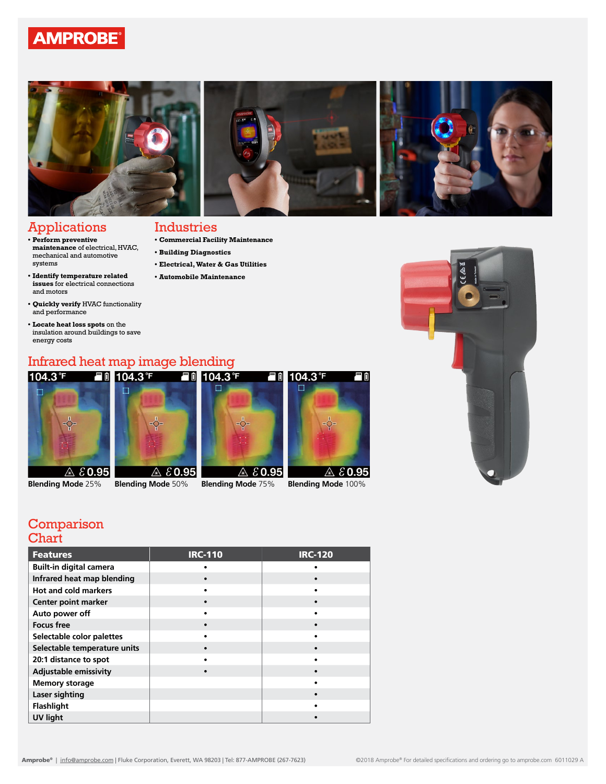### **AMPROBE**



### Applications

#### **• Commercial Facility Maintenance** Industries

**• Building Diagnostics** 

**• Electrical, Water & Gas Utilities • Automobile Maintenance**

- **• Perform preventive maintenance** of electrical, HVAC, mechanical and automotive systems
- **• Identify temperature related issues** for electrical connections and motors
- **• Quickly verify** HVAC functionality and performance
- **• Locate heat loss spots** on the insulation around buildings to save energy costs

# Infrared heat map image blending<br>104.3°F = Fill 104.3°F = Fill 104.3°F



- 
- 





#### Comparison **Chart**

| <b>Features</b>                | <b>IRC-110</b> | <b>IRC-120</b> |
|--------------------------------|----------------|----------------|
| <b>Built-in digital camera</b> |                |                |
| Infrared heat map blending     |                |                |
| <b>Hot and cold markers</b>    |                |                |
| Center point marker            |                |                |
| Auto power off                 |                |                |
| <b>Focus free</b>              |                |                |
| Selectable color palettes      |                |                |
| Selectable temperature units   |                |                |
| 20:1 distance to spot          |                |                |
| <b>Adjustable emissivity</b>   |                |                |
| <b>Memory storage</b>          |                |                |
| Laser sighting                 |                |                |
| <b>Flashlight</b>              |                |                |
| <b>UV light</b>                |                |                |